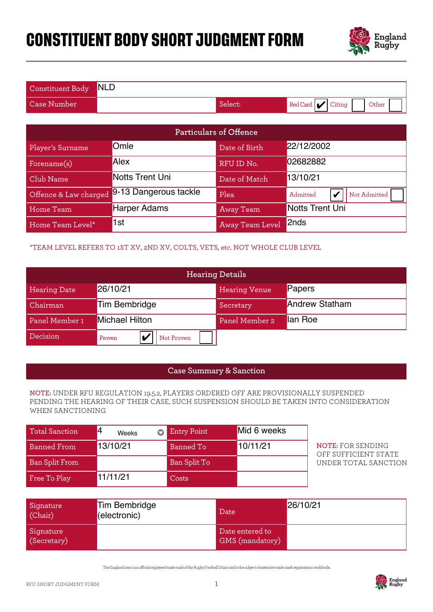# **CONSTITUENT BODY SHORT JUDGMENT FORM**



| Constituent Body NLD |         |                          |
|----------------------|---------|--------------------------|
| Case Number          | Select: | Red Card Citing<br>Other |

| <b>Particulars of Offence</b>                                                |                                                            |                      |                               |  |  |  |  |
|------------------------------------------------------------------------------|------------------------------------------------------------|----------------------|-------------------------------|--|--|--|--|
| Player's Surname                                                             | Omle                                                       | Date of Birth        | 22/12/2002                    |  |  |  |  |
| Forename(s)                                                                  | Alex                                                       | RFU ID No.           | 02682882                      |  |  |  |  |
| Club Name                                                                    | Notts Trent Uni                                            | Date of Match        | 13/10/21                      |  |  |  |  |
| Offence & Law charged                                                        | 9-13 Dangerous tackle                                      | Plea                 | Not Admitted<br>Admitted<br>V |  |  |  |  |
| Home Team                                                                    | Notts Trent Uni<br><b>Harper Adams</b><br><b>Away Team</b> |                      |                               |  |  |  |  |
| Home Team Level*                                                             | 1st                                                        | Away Team Level      | 2nds                          |  |  |  |  |
| *TEAM LEVEL REFERS TO 1ST XV, 2ND XV, COLTS, VETS, etc. NOT WHOLE CLUB LEVEL |                                                            |                      |                               |  |  |  |  |
| <b>Hearing Details</b>                                                       |                                                            |                      |                               |  |  |  |  |
| <b>Hearing Date</b>                                                          | 26/10/21                                                   | <b>Hearing Venue</b> | Papers                        |  |  |  |  |
| Chairman                                                                     | <b>Tim Bembridge</b>                                       | Secretary            | <b>Andrew Statham</b>         |  |  |  |  |
| Panel Member 1                                                               | Michael Hilton                                             | Panel Member 2       | lan Roe                       |  |  |  |  |

### \*TEAM LEVEL REFERS TO 1ST XV, 2ND XV, COLTS, VETS, etc. NOT WHOLE CLUB LEVEL

| Offence & Law charged                                                                                                                                                                           |        | 9-13 Dangerous tackle                |           |                                    | Plea<br>Admitted<br>$\boldsymbol{\mathcal{U}}$ |                                    |                        | Not Admitted |  |                                                  |  |
|-------------------------------------------------------------------------------------------------------------------------------------------------------------------------------------------------|--------|--------------------------------------|-----------|------------------------------------|------------------------------------------------|------------------------------------|------------------------|--------------|--|--------------------------------------------------|--|
| Home Team                                                                                                                                                                                       |        | <b>Harper Adams</b>                  |           |                                    |                                                | <b>Away Team</b>                   | <b>Notts Trent Uni</b> |              |  |                                                  |  |
| Home Team Level*                                                                                                                                                                                |        | 1st                                  |           |                                    |                                                | Away Team Level                    | 2nds                   |              |  |                                                  |  |
| *TEAM LEVEL REFERS TO 1ST XV, 2ND XV, COLTS, VETS, etc. NOT WHOLE CLUB LEVEL                                                                                                                    |        |                                      |           |                                    |                                                |                                    |                        |              |  |                                                  |  |
|                                                                                                                                                                                                 |        |                                      |           |                                    | <b>Hearing Details</b>                         |                                    |                        |              |  |                                                  |  |
| <b>Hearing Date</b>                                                                                                                                                                             |        | 26/10/21                             |           |                                    |                                                | <b>Hearing Venue</b>               |                        | Papers       |  |                                                  |  |
| Chairman                                                                                                                                                                                        |        | <b>Tim Bembridge</b>                 |           |                                    |                                                | <b>Andrew Statham</b><br>Secretary |                        |              |  |                                                  |  |
| Panel Member 1                                                                                                                                                                                  |        | Michael Hilton                       |           |                                    |                                                | Panel Member 2                     | lan Roe                |              |  |                                                  |  |
| Decision                                                                                                                                                                                        | Proven | IV                                   |           | Not Proven                         |                                                |                                    |                        |              |  |                                                  |  |
|                                                                                                                                                                                                 |        |                                      |           |                                    |                                                |                                    |                        |              |  |                                                  |  |
|                                                                                                                                                                                                 |        |                                      |           | <b>Case Summary &amp; Sanction</b> |                                                |                                    |                        |              |  |                                                  |  |
| NOTE: UNDER RFU REGULATION 19.5.2, PLAYERS ORDERED OFF ARE PROVISIONALLY SUSPENDED<br>PENDING THE HEARING OF THEIR CASE, SUCH SUSPENSION SHOULD BE TAKEN INTO CONSIDERATION<br>WHEN SANCTIONING |        |                                      |           |                                    |                                                |                                    |                        |              |  |                                                  |  |
| <b>Total Sanction</b>                                                                                                                                                                           | 4      | Weeks                                | $\bullet$ | <b>Entry Point</b>                 |                                                | Mid 6 weeks                        |                        |              |  |                                                  |  |
| <b>Banned From</b>                                                                                                                                                                              |        | 13/10/21                             |           | <b>Banned To</b>                   |                                                | 10/11/21                           |                        |              |  | <b>NOTE: FOR SENDING</b><br>OFF SUFFICIENT STATE |  |
| <b>Ban Split From</b>                                                                                                                                                                           |        |                                      |           | Ban Split To                       |                                                |                                    |                        |              |  | UNDER TOTAL SANCTION                             |  |
| Free To Play                                                                                                                                                                                    |        | 11/11/21                             |           | Costs                              |                                                |                                    |                        |              |  |                                                  |  |
| Signature<br>(Chair)                                                                                                                                                                            |        | <b>Tim Bembridge</b><br>(electronic) |           |                                    | Date                                           |                                    | 26/10/21               |              |  |                                                  |  |

#### **Case Summary & Sanction**

#### **NOTE:** UNDER RFU REGULATION 19.5.2, PLAYERS ORDERED OFF ARE PROVISIONALLY SUSPENDED PENDING THE HEARING OF THEIR CASE, SUCH SUSPENSION SHOULD BE TAKEN INTO CONSIDERATION WHEN SANCTIONING

| <b>Total Sanction</b> | Weeks    | <b>Entry Point</b> | Mid 6 weeks |
|-----------------------|----------|--------------------|-------------|
| <b>Banned From</b>    | 13/10/21 | Banned To          | 10/11/21    |
| Ban Split From        |          | Ban Split To       |             |
| Free To Play          | 11/11/21 | Costs              |             |

| Signature<br>(Chair)     | <b>Tim Bembridge</b><br>(electronic) | Date                               | 26/10/21 |
|--------------------------|--------------------------------------|------------------------------------|----------|
| Signature<br>(Secretary) |                                      | Date entered to<br>GMS (mandatory) |          |

The England rose is an ocial registered trade mark of the Rugby Football Union and is the subject of extensive trade mark registrations worldwide.

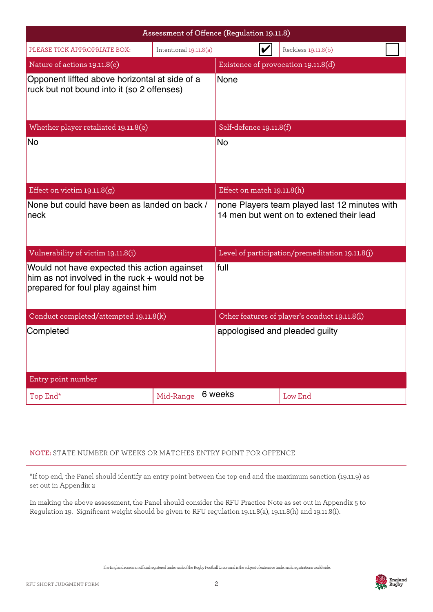|                                                                                                                                      |                        | Assessment of Offence (Regulation 19.11.8) |                                                                                           |
|--------------------------------------------------------------------------------------------------------------------------------------|------------------------|--------------------------------------------|-------------------------------------------------------------------------------------------|
| PLEASE TICK APPROPRIATE BOX:                                                                                                         | Intentional 19.11.8(a) |                                            | Reckless 19.11.8(b)                                                                       |
| Nature of actions 19.11.8(c)                                                                                                         |                        | Existence of provocation 19.11.8(d)        |                                                                                           |
| Opponent liffted above horizontal at side of a<br>ruck but not bound into it (so 2 offenses)                                         |                        | None                                       |                                                                                           |
| Whether player retaliated 19.11.8(e)                                                                                                 |                        | Self-defence 19.11.8(f)                    |                                                                                           |
| No                                                                                                                                   |                        | N <sub>O</sub>                             |                                                                                           |
| Effect on victim $19.11.8(g)$                                                                                                        |                        | Effect on match 19.11.8(h)                 |                                                                                           |
| None but could have been as landed on back /<br>neck                                                                                 |                        |                                            | none Players team played last 12 minutes with<br>14 men but went on to extened their lead |
| Vulnerability of victim 19.11.8(i)                                                                                                   |                        |                                            | Level of participation/premeditation 19.11.8(j)                                           |
| Would not have expected this action againset<br>him as not involved in the ruck + would not be<br>prepared for foul play against him |                        | <b>full</b>                                |                                                                                           |
| Conduct completed/attempted 19.11.8(k)                                                                                               |                        |                                            | Other features of player's conduct 19.11.8(l)                                             |
| Completed                                                                                                                            |                        |                                            | appologised and pleaded guilty                                                            |
| Entry point number                                                                                                                   |                        |                                            |                                                                                           |
| Top End*                                                                                                                             | Mid-Range              | 6 weeks                                    | Low End                                                                                   |

## **NOTE:** STATE NUMBER OF WEEKS OR MATCHES ENTRY POINT FOR OFFENCE

\*If top end, the Panel should identify an entry point between the top end and the maximum sanction (19.11.9) as set out in Appendix 2

In making the above assessment, the Panel should consider the RFU Practice Note as set out in Appendix 5 to Regulation 19. Significant weight should be given to RFU regulation 19.11.8(a), 19.11.8(h) and 19.11.8(i).

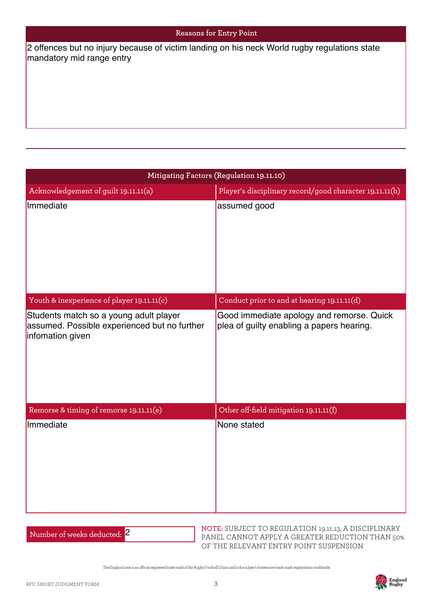|  | <b>Reasons for Entry Point</b> |
|--|--------------------------------|
|--|--------------------------------|

mandatory mid range entry

| 2 offences but no injury because of victim landing on his neck World rugby regulations state<br>mandatory mid range entry |                                                                                        |  |  |  |
|---------------------------------------------------------------------------------------------------------------------------|----------------------------------------------------------------------------------------|--|--|--|
|                                                                                                                           |                                                                                        |  |  |  |
|                                                                                                                           |                                                                                        |  |  |  |
|                                                                                                                           |                                                                                        |  |  |  |
|                                                                                                                           | Mitigating Factors (Regulation 19.11.10)                                               |  |  |  |
| Acknowledgement of guilt 19.11.11(a)<br>Immediate                                                                         | Player's disciplinary record/good character 19.11.11(b)<br>assumed good                |  |  |  |
|                                                                                                                           |                                                                                        |  |  |  |
|                                                                                                                           |                                                                                        |  |  |  |
|                                                                                                                           |                                                                                        |  |  |  |
| Youth & inexperience of player 19.11.11(c)                                                                                | Conduct prior to and at hearing 19.11.11(d)                                            |  |  |  |
| Students match so a young adult player<br>assumed. Possible experienced but no further<br>infomation given                | Good immediate apology and remorse. Quick<br>plea of guilty enabling a papers hearing. |  |  |  |
| Remorse & timing of remorse 19.11.11(e)                                                                                   | Other off-field mitigation 19.11.11(f)                                                 |  |  |  |
| Immediate                                                                                                                 | None stated                                                                            |  |  |  |
|                                                                                                                           |                                                                                        |  |  |  |

| Number of weeks deducted: 2 |  |
|-----------------------------|--|
|-----------------------------|--|

**NOTE:** SUBJECT TO REGULATION 19.11.13, A DISCIPLINARY PANEL CANNOT APPLY A GREATER REDUCTION THAN 50% OF THE RELEVANT ENTRY POINT SUSPENSION

The England rose is an ocial registered trade mark of the Rugby Football Union and is the subject of extensive trade mark registrations worldwide.